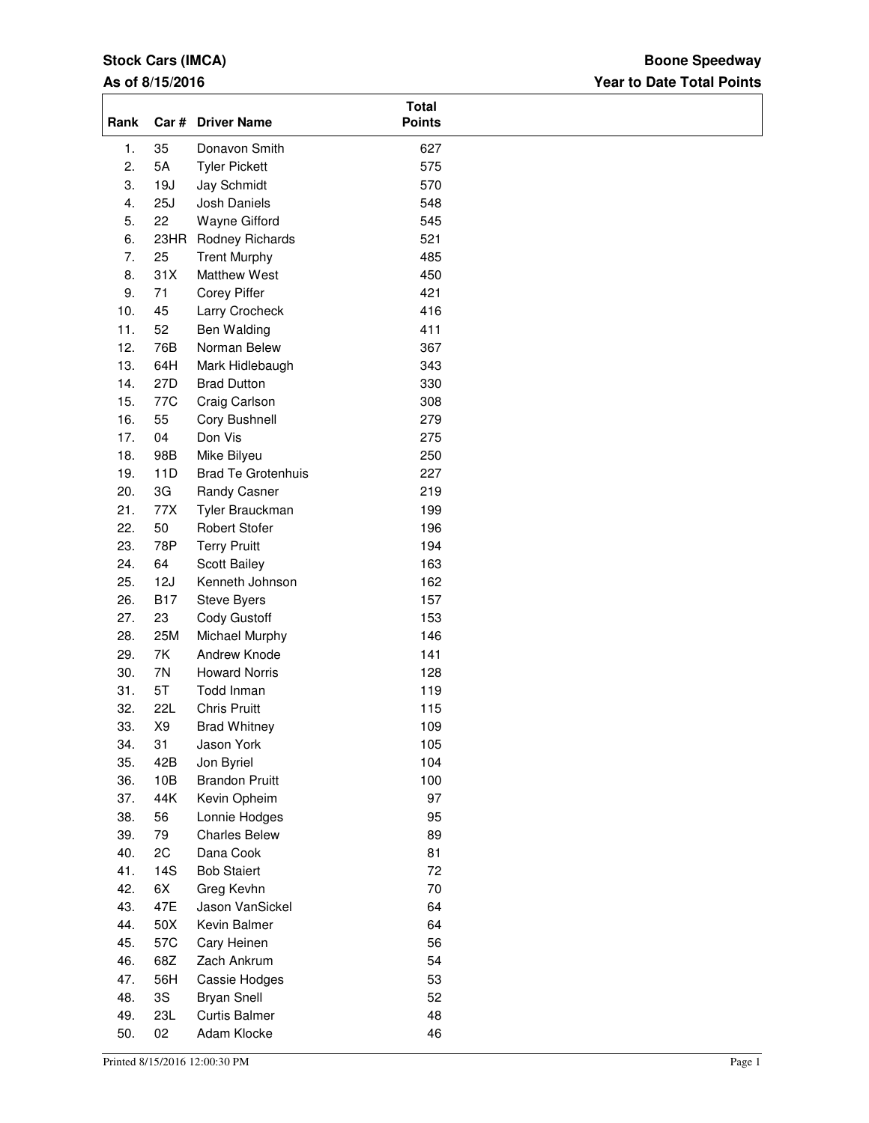# **Stock Cars (IMCA)**

### **As of 8/15/2016**

## **Year to Date Total Points Boone Speedway**

| Rank |                | Car # Driver Name         | <b>Total</b><br><b>Points</b> |  |
|------|----------------|---------------------------|-------------------------------|--|
| 1.   | 35             | Donavon Smith             | 627                           |  |
| 2.   | 5A             | <b>Tyler Pickett</b>      | 575                           |  |
| 3.   | 19J            | Jay Schmidt               | 570                           |  |
| 4.   | 25J            | Josh Daniels              | 548                           |  |
| 5.   | 22             | Wayne Gifford             | 545                           |  |
| 6.   | 23HR           | Rodney Richards           | 521                           |  |
| 7.   | 25             | <b>Trent Murphy</b>       | 485                           |  |
| 8.   | 31X            | Matthew West              | 450                           |  |
| 9.   | 71             | <b>Corey Piffer</b>       | 421                           |  |
| 10.  | 45             | Larry Crocheck            | 416                           |  |
| 11.  | 52             | Ben Walding               | 411                           |  |
| 12.  | 76B            | Norman Belew              | 367                           |  |
| 13.  | 64H            | Mark Hidlebaugh           | 343                           |  |
| 14.  | 27D            | <b>Brad Dutton</b>        | 330                           |  |
| 15.  | 77C            | Craig Carlson             | 308                           |  |
| 16.  | 55             | Cory Bushnell             | 279                           |  |
| 17.  | 04             | Don Vis                   | 275                           |  |
| 18.  | 98B            | Mike Bilyeu               | 250                           |  |
| 19.  | 11D            | <b>Brad Te Grotenhuis</b> | 227                           |  |
| 20.  | 3G             | Randy Casner              | 219                           |  |
| 21.  | 77X            | Tyler Brauckman           | 199                           |  |
| 22.  | 50             | Robert Stofer             | 196                           |  |
| 23.  | 78P            | <b>Terry Pruitt</b>       | 194                           |  |
| 24.  | 64             | Scott Bailey              | 163                           |  |
| 25.  | 12J            | Kenneth Johnson           | 162                           |  |
| 26.  | <b>B17</b>     | Steve Byers               | 157                           |  |
| 27.  | 23             | Cody Gustoff              | 153                           |  |
| 28.  | 25M            | Michael Murphy            | 146                           |  |
| 29.  | 7K             | Andrew Knode              | 141                           |  |
| 30.  | 7N             | <b>Howard Norris</b>      | 128                           |  |
| 31.  | 5T             | Todd Inman                | 119                           |  |
| 32.  | <b>22L</b>     | <b>Chris Pruitt</b>       | 115                           |  |
| 33.  | X <sub>9</sub> | <b>Brad Whitney</b>       | 109                           |  |
| 34.  | 31             | Jason York                | 105                           |  |
| 35.  | 42B            | Jon Byriel                | 104                           |  |
| 36.  | 10B            | <b>Brandon Pruitt</b>     | 100                           |  |
| 37.  | 44K            | Kevin Opheim              | 97                            |  |
| 38.  | 56             | Lonnie Hodges             | 95                            |  |
| 39.  | 79             | <b>Charles Belew</b>      | 89                            |  |
| 40.  | 2C             | Dana Cook                 | 81                            |  |
| 41.  | 14S            | <b>Bob Staiert</b>        | 72                            |  |
| 42.  | 6X             | Greg Kevhn                | $70\,$                        |  |
| 43.  | 47E            | Jason VanSickel           | 64                            |  |
| 44.  | 50X            | Kevin Balmer              | 64                            |  |
| 45.  | 57C            | Cary Heinen               | 56                            |  |
| 46.  | 68Z            | Zach Ankrum               | 54                            |  |
| 47.  | 56H            | Cassie Hodges             | 53                            |  |
| 48.  | 3S             | <b>Bryan Snell</b>        | 52                            |  |
| 49.  | 23L            | <b>Curtis Balmer</b>      | 48                            |  |
| 50.  | 02             | Adam Klocke               | 46                            |  |